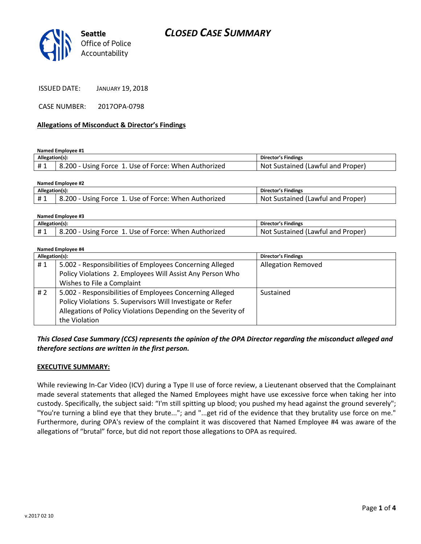# *CLOSED CASE SUMMARY*



| <b>JANUARY 19, 2018</b> |
|-------------------------|
|                         |

CASE NUMBER: 2017OPA-0798

#### **Allegations of Misconduct & Director's Findings**

**Named Employee #1**

| Allegation(s): |                                                           | Director's Findings                      |
|----------------|-----------------------------------------------------------|------------------------------------------|
|                | 200 - Using Force 1. Use of Force: When Authorized<br>- 8 | : Sustained (Lawful and Proper)<br>. Not |

| Named Employee #2 |                                                      |                                   |  |  |
|-------------------|------------------------------------------------------|-----------------------------------|--|--|
| Allegation(s):    |                                                      | Director's Findings               |  |  |
| #1                | 8.200 - Using Force 1. Use of Force: When Authorized | Not Sustained (Lawful and Proper) |  |  |

| Named Employee #3 |                                                      |                                   |  |  |
|-------------------|------------------------------------------------------|-----------------------------------|--|--|
| Allegation(s):    |                                                      | Director's Findings               |  |  |
| #1                | 8.200 - Using Force 1. Use of Force: When Authorized | Not Sustained (Lawful and Proper) |  |  |

#### **Named Employee #4**

| $1.8811168$ Elliptovec $1.7$<br>Allegation(s): |                                                               | <b>Director's Findings</b> |
|------------------------------------------------|---------------------------------------------------------------|----------------------------|
| #1                                             | 5.002 - Responsibilities of Employees Concerning Alleged      | <b>Allegation Removed</b>  |
|                                                | Policy Violations 2. Employees Will Assist Any Person Who     |                            |
|                                                | Wishes to File a Complaint                                    |                            |
| # 2                                            | 5.002 - Responsibilities of Employees Concerning Alleged      | Sustained                  |
|                                                | Policy Violations 5. Supervisors Will Investigate or Refer    |                            |
|                                                | Allegations of Policy Violations Depending on the Severity of |                            |
|                                                | the Violation                                                 |                            |

*This Closed Case Summary (CCS) represents the opinion of the OPA Director regarding the misconduct alleged and therefore sections are written in the first person.* 

#### **EXECUTIVE SUMMARY:**

While reviewing In-Car Video (ICV) during a Type II use of force review, a Lieutenant observed that the Complainant made several statements that alleged the Named Employees might have use excessive force when taking her into custody. Specifically, the subject said: "I'm still spitting up blood; you pushed my head against the ground severely"; "You're turning a blind eye that they brute..."; and "...get rid of the evidence that they brutality use force on me." Furthermore, during OPA's review of the complaint it was discovered that Named Employee #4 was aware of the allegations of "brutal" force, but did not report those allegations to OPA as required.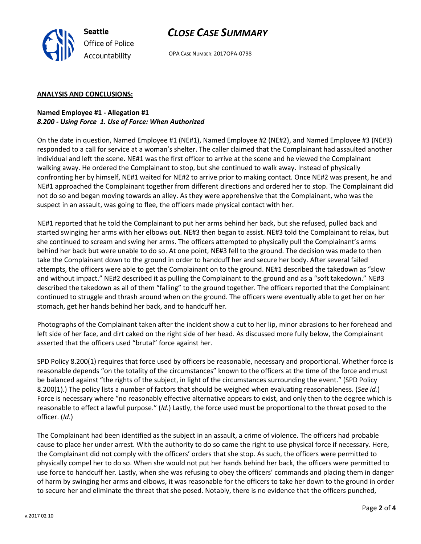OPA CASE NUMBER: 2017OPA-0798

#### **ANALYSIS AND CONCLUSIONS:**

**Seattle**

*Office of Police Accountability*

#### **Named Employee #1 - Allegation #1** *8.200 - Using Force 1. Use of Force: When Authorized*

On the date in question, Named Employee #1 (NE#1), Named Employee #2 (NE#2), and Named Employee #3 (NE#3) responded to a call for service at a woman's shelter. The caller claimed that the Complainant had assaulted another individual and left the scene. NE#1 was the first officer to arrive at the scene and he viewed the Complainant walking away. He ordered the Complainant to stop, but she continued to walk away. Instead of physically confronting her by himself, NE#1 waited for NE#2 to arrive prior to making contact. Once NE#2 was present, he and NE#1 approached the Complainant together from different directions and ordered her to stop. The Complainant did not do so and began moving towards an alley. As they were apprehensive that the Complainant, who was the suspect in an assault, was going to flee, the officers made physical contact with her.

NE#1 reported that he told the Complainant to put her arms behind her back, but she refused, pulled back and started swinging her arms with her elbows out. NE#3 then began to assist. NE#3 told the Complainant to relax, but she continued to scream and swing her arms. The officers attempted to physically pull the Complainant's arms behind her back but were unable to do so. At one point, NE#3 fell to the ground. The decision was made to then take the Complainant down to the ground in order to handcuff her and secure her body. After several failed attempts, the officers were able to get the Complainant on to the ground. NE#1 described the takedown as "slow and without impact." NE#2 described it as pulling the Complainant to the ground and as a "soft takedown." NE#3 described the takedown as all of them "falling" to the ground together. The officers reported that the Complainant continued to struggle and thrash around when on the ground. The officers were eventually able to get her on her stomach, get her hands behind her back, and to handcuff her.

Photographs of the Complainant taken after the incident show a cut to her lip, minor abrasions to her forehead and left side of her face, and dirt caked on the right side of her head. As discussed more fully below, the Complainant asserted that the officers used "brutal" force against her.

SPD Policy 8.200(1) requires that force used by officers be reasonable, necessary and proportional. Whether force is reasonable depends "on the totality of the circumstances" known to the officers at the time of the force and must be balanced against "the rights of the subject, in light of the circumstances surrounding the event." (SPD Policy 8.200(1).) The policy lists a number of factors that should be weighed when evaluating reasonableness. (*See id.*) Force is necessary where "no reasonably effective alternative appears to exist, and only then to the degree which is reasonable to effect a lawful purpose." (*Id.*) Lastly, the force used must be proportional to the threat posed to the officer. (*Id.*)

The Complainant had been identified as the subject in an assault, a crime of violence. The officers had probable cause to place her under arrest. With the authority to do so came the right to use physical force if necessary. Here, the Complainant did not comply with the officers' orders that she stop. As such, the officers were permitted to physically compel her to do so. When she would not put her hands behind her back, the officers were permitted to use force to handcuff her. Lastly, when she was refusing to obey the officers' commands and placing them in danger of harm by swinging her arms and elbows, it was reasonable for the officers to take her down to the ground in order to secure her and eliminate the threat that she posed. Notably, there is no evidence that the officers punched,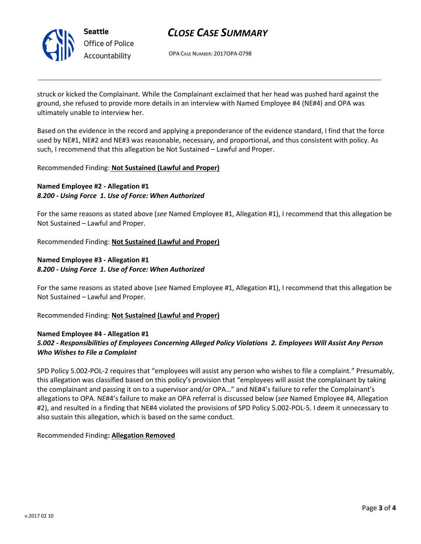

# *CLOSE CASE SUMMARY*

OPA CASE NUMBER: 2017OPA-0798

struck or kicked the Complainant. While the Complainant exclaimed that her head was pushed hard against the ground, she refused to provide more details in an interview with Named Employee #4 (NE#4) and OPA was ultimately unable to interview her.

Based on the evidence in the record and applying a preponderance of the evidence standard, I find that the force used by NE#1, NE#2 and NE#3 was reasonable, necessary, and proportional, and thus consistent with policy. As such, I recommend that this allegation be Not Sustained – Lawful and Proper.

#### Recommended Finding: **Not Sustained (Lawful and Proper)**

## **Named Employee #2 - Allegation #1** *8.200 - Using Force 1. Use of Force: When Authorized*

For the same reasons as stated above (*see* Named Employee #1, Allegation #1), I recommend that this allegation be Not Sustained – Lawful and Proper.

Recommended Finding: **Not Sustained (Lawful and Proper)**

## **Named Employee #3 - Allegation #1** *8.200 - Using Force 1. Use of Force: When Authorized*

For the same reasons as stated above (*see* Named Employee #1, Allegation #1), I recommend that this allegation be Not Sustained – Lawful and Proper.

Recommended Finding: **Not Sustained (Lawful and Proper)**

#### **Named Employee #4 - Allegation #1** *5.002 - Responsibilities of Employees Concerning Alleged Policy Violations 2. Employees Will Assist Any Person Who Wishes to File a Complaint*

SPD Policy 5.002-POL-2 requires that "employees will assist any person who wishes to file a complaint." Presumably, this allegation was classified based on this policy's provision that "employees will assist the complainant by taking the complainant and passing it on to a supervisor and/or OPA…" and NE#4's failure to refer the Complainant's allegations to OPA. NE#4's failure to make an OPA referral is discussed below (*see* Named Employee #4, Allegation #2), and resulted in a finding that NE#4 violated the provisions of SPD Policy 5.002-POL-5. I deem it unnecessary to also sustain this allegation, which is based on the same conduct.

Recommended Finding**: Allegation Removed**